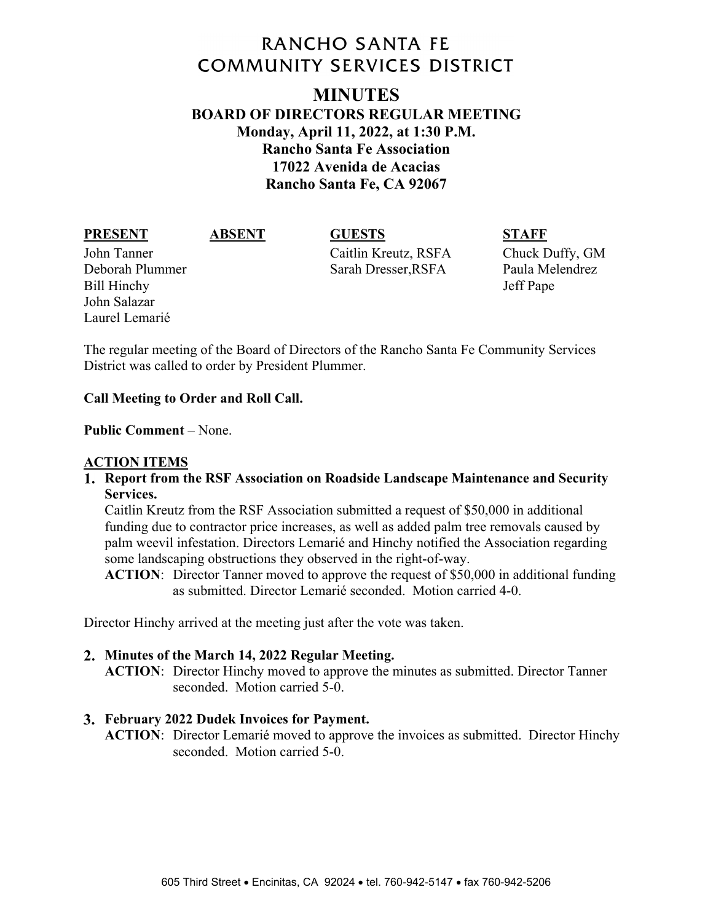# **RANCHO SANTA FE COMMUNITY SERVICES DISTRICT**

# **MINUTES BOARD OF DIRECTORS REGULAR MEETING Monday, April 11, 2022, at 1:30 P.M. Rancho Santa Fe Association 17022 Avenida de Acacias Rancho Santa Fe, CA 92067**

### **PRESENT ABSENT GUESTS STAFF**

Bill Hinchy Jeff Pape John Salazar Laurel Lemarié

John Tanner Caitlin Kreutz, RSFA Chuck Duffy, GM Deborah Plummer Sarah Dresser,RSFA Paula Melendrez

The regular meeting of the Board of Directors of the Rancho Santa Fe Community Services District was called to order by President Plummer.

# **Call Meeting to Order and Roll Call.**

### **Public Comment** – None.

### **ACTION ITEMS**

**Report from the RSF Association on Roadside Landscape Maintenance and Security Services.** 

Caitlin Kreutz from the RSF Association submitted a request of \$50,000 in additional funding due to contractor price increases, as well as added palm tree removals caused by palm weevil infestation. Directors Lemarié and Hinchy notified the Association regarding some landscaping obstructions they observed in the right-of-way.

**ACTION**: Director Tanner moved to approve the request of \$50,000 in additional funding as submitted. Director Lemarié seconded. Motion carried 4-0.

Director Hinchy arrived at the meeting just after the vote was taken.

### **Minutes of the March 14, 2022 Regular Meeting.**

**ACTION**: Director Hinchy moved to approve the minutes as submitted. Director Tanner seconded. Motion carried 5-0.

### **February 2022 Dudek Invoices for Payment.**

**ACTION**: Director Lemarié moved to approve the invoices as submitted. Director Hinchy seconded. Motion carried 5-0.